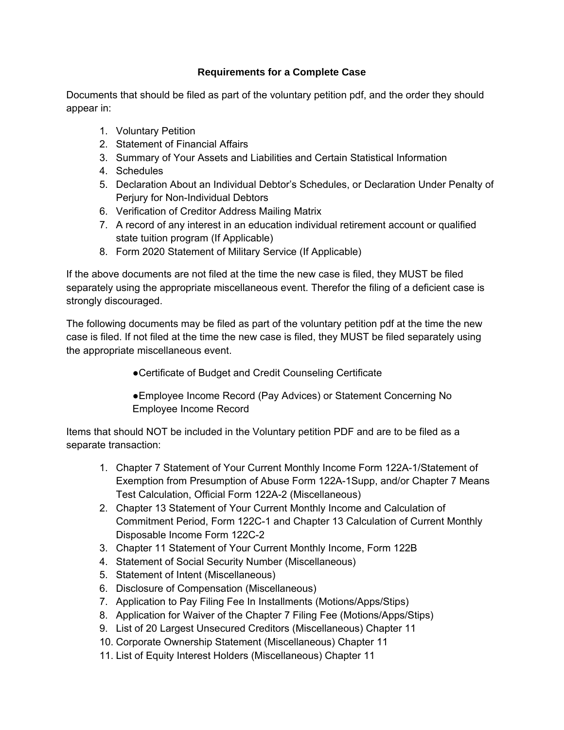## **Requirements for a Complete Case**

Documents that should be filed as part of the voluntary petition pdf, and the order they should appear in:

- 1. Voluntary Petition
- 2. Statement of Financial Affairs
- 3. Summary of Your Assets and Liabilities and Certain Statistical Information
- 4. Schedules
- 5. Declaration About an Individual Debtor's Schedules, or Declaration Under Penalty of Perjury for Non-Individual Debtors
- 6. Verification of Creditor Address Mailing Matrix
- 7. A record of any interest in an education individual retirement account or qualified state tuition program (If Applicable)
- 8. Form 2020 Statement of Military Service (If Applicable)

If the above documents are not filed at the time the new case is filed, they MUST be filed separately using the appropriate miscellaneous event. Therefor the filing of a deficient case is strongly discouraged.

The following documents may be filed as part of the voluntary petition pdf at the time the new case is filed. If not filed at the time the new case is filed, they MUST be filed separately using the appropriate miscellaneous event.

●Certificate of Budget and Credit Counseling Certificate

●Employee Income Record (Pay Advices) or Statement Concerning No Employee Income Record

Items that should NOT be included in the Voluntary petition PDF and are to be filed as a separate transaction:

- 1. Chapter 7 Statement of Your Current Monthly Income Form 122A-1/Statement of Exemption from Presumption of Abuse Form 122A-1Supp, and/or Chapter 7 Means Test Calculation, Official Form 122A-2 (Miscellaneous)
- 2. Chapter 13 Statement of Your Current Monthly Income and Calculation of Commitment Period, Form 122C-1 and Chapter 13 Calculation of Current Monthly Disposable Income Form 122C-2
- 3. Chapter 11 Statement of Your Current Monthly Income, Form 122B
- 4. Statement of Social Security Number (Miscellaneous)
- 5. Statement of Intent (Miscellaneous)
- 6. Disclosure of Compensation (Miscellaneous)
- 7. Application to Pay Filing Fee In Installments (Motions/Apps/Stips)
- 8. Application for Waiver of the Chapter 7 Filing Fee (Motions/Apps/Stips)
- 9. List of 20 Largest Unsecured Creditors (Miscellaneous) Chapter 11
- 10. Corporate Ownership Statement (Miscellaneous) Chapter 11
- 11. List of Equity Interest Holders (Miscellaneous) Chapter 11